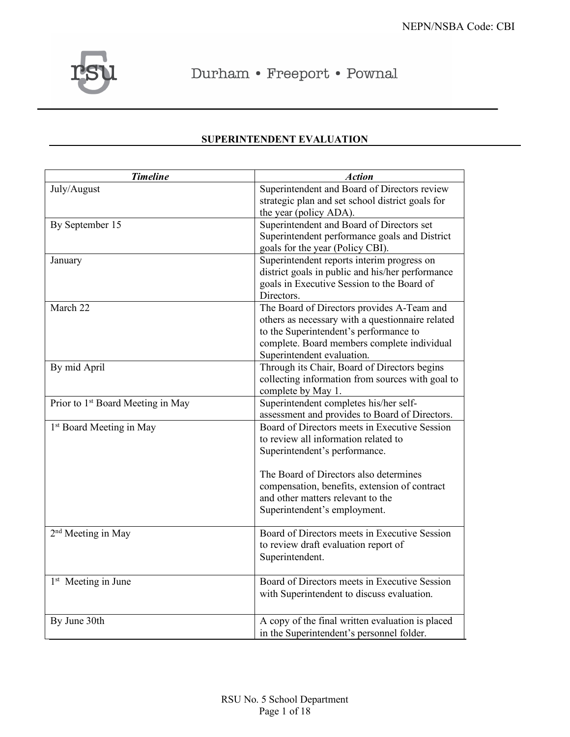

Durham • Freeport • Pownal

| <b>Timeline</b>                               | <b>Action</b>                                                                                                                                                                                                         |  |  |  |  |
|-----------------------------------------------|-----------------------------------------------------------------------------------------------------------------------------------------------------------------------------------------------------------------------|--|--|--|--|
| July/August                                   | Superintendent and Board of Directors review<br>strategic plan and set school district goals for<br>the year (policy ADA).                                                                                            |  |  |  |  |
| By September 15                               | Superintendent and Board of Directors set<br>Superintendent performance goals and District<br>goals for the year (Policy CBI).                                                                                        |  |  |  |  |
| January                                       | Superintendent reports interim progress on<br>district goals in public and his/her performance<br>goals in Executive Session to the Board of<br>Directors.                                                            |  |  |  |  |
| March 22                                      | The Board of Directors provides A-Team and<br>others as necessary with a questionnaire related<br>to the Superintendent's performance to<br>complete. Board members complete individual<br>Superintendent evaluation. |  |  |  |  |
| By mid April                                  | Through its Chair, Board of Directors begins<br>collecting information from sources with goal to<br>complete by May 1.                                                                                                |  |  |  |  |
| Prior to 1 <sup>st</sup> Board Meeting in May | Superintendent completes his/her self-<br>assessment and provides to Board of Directors.                                                                                                                              |  |  |  |  |
| 1 <sup>st</sup> Board Meeting in May          | Board of Directors meets in Executive Session<br>to review all information related to<br>Superintendent's performance.                                                                                                |  |  |  |  |
|                                               | The Board of Directors also determines<br>compensation, benefits, extension of contract<br>and other matters relevant to the<br>Superintendent's employment.                                                          |  |  |  |  |
| 2 <sup>nd</sup> Meeting in May                | Board of Directors meets in Executive Session<br>to review draft evaluation report of<br>Superintendent.                                                                                                              |  |  |  |  |
| 1 <sup>st</sup> Meeting in June               | Board of Directors meets in Executive Session<br>with Superintendent to discuss evaluation.                                                                                                                           |  |  |  |  |
| By June 30th                                  | A copy of the final written evaluation is placed<br>in the Superintendent's personnel folder.                                                                                                                         |  |  |  |  |

# **SUPERINTENDENT EVALUATION**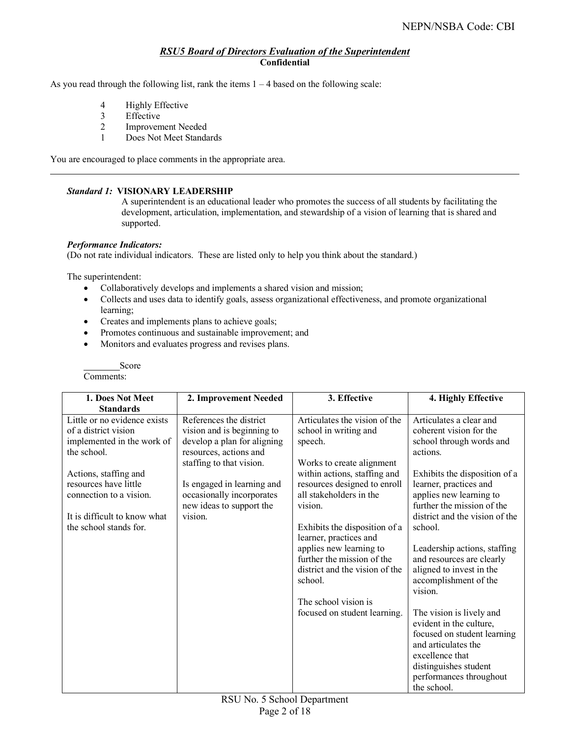# *RSU5 Board of Directors Evaluation of the Superintendent* **Confidential**

As you read through the following list, rank the items  $1 - 4$  based on the following scale:

- 4 Highly Effective
- 3 Effective
- 2 Improvement Needed
- 1 Does Not Meet Standards

You are encouraged to place comments in the appropriate area.

#### *Standard 1:* **VISIONARY LEADERSHIP**

A superintendent is an educational leader who promotes the success of all students by facilitating the development, articulation, implementation, and stewardship of a vision of learning that is shared and supported.

#### *Performance Indicators:*

(Do not rate individual indicators. These are listed only to help you think about the standard.)

The superintendent:

- Collaboratively develops and implements a shared vision and mission;
- Collects and uses data to identify goals, assess organizational effectiveness, and promote organizational learning;
- Creates and implements plans to achieve goals;
- Promotes continuous and sustainable improvement; and
- Monitors and evaluates progress and revises plans.

Score

| 1. Does Not Meet                                                                                                                                                                                                                         | 2. Improvement Needed                                                                                                                                                                                                                        | 3. Effective                                                                                                                                                                                                                                                                                                                                                                                                                  | 4. Highly Effective                                                                                                                                                                                                                                                                                                                                                                                                                                                                                                                                                          |
|------------------------------------------------------------------------------------------------------------------------------------------------------------------------------------------------------------------------------------------|----------------------------------------------------------------------------------------------------------------------------------------------------------------------------------------------------------------------------------------------|-------------------------------------------------------------------------------------------------------------------------------------------------------------------------------------------------------------------------------------------------------------------------------------------------------------------------------------------------------------------------------------------------------------------------------|------------------------------------------------------------------------------------------------------------------------------------------------------------------------------------------------------------------------------------------------------------------------------------------------------------------------------------------------------------------------------------------------------------------------------------------------------------------------------------------------------------------------------------------------------------------------------|
| <b>Standards</b>                                                                                                                                                                                                                         |                                                                                                                                                                                                                                              |                                                                                                                                                                                                                                                                                                                                                                                                                               |                                                                                                                                                                                                                                                                                                                                                                                                                                                                                                                                                                              |
| Little or no evidence exists<br>of a district vision<br>implemented in the work of<br>the school.<br>Actions, staffing and<br>resources have little<br>connection to a vision.<br>It is difficult to know what<br>the school stands for. | References the district<br>vision and is beginning to<br>develop a plan for aligning<br>resources, actions and<br>staffing to that vision.<br>Is engaged in learning and<br>occasionally incorporates<br>new ideas to support the<br>vision. | Articulates the vision of the<br>school in writing and<br>speech.<br>Works to create alignment<br>within actions, staffing and<br>resources designed to enroll<br>all stakeholders in the<br>vision.<br>Exhibits the disposition of a<br>learner, practices and<br>applies new learning to<br>further the mission of the<br>district and the vision of the<br>school.<br>The school vision is<br>focused on student learning. | Articulates a clear and<br>coherent vision for the<br>school through words and<br>actions.<br>Exhibits the disposition of a<br>learner, practices and<br>applies new learning to<br>further the mission of the<br>district and the vision of the<br>school.<br>Leadership actions, staffing<br>and resources are clearly<br>aligned to invest in the<br>accomplishment of the<br>vision.<br>The vision is lively and<br>evident in the culture,<br>focused on student learning<br>and articulates the<br>excellence that<br>distinguishes student<br>performances throughout |
|                                                                                                                                                                                                                                          |                                                                                                                                                                                                                                              |                                                                                                                                                                                                                                                                                                                                                                                                                               | the school.                                                                                                                                                                                                                                                                                                                                                                                                                                                                                                                                                                  |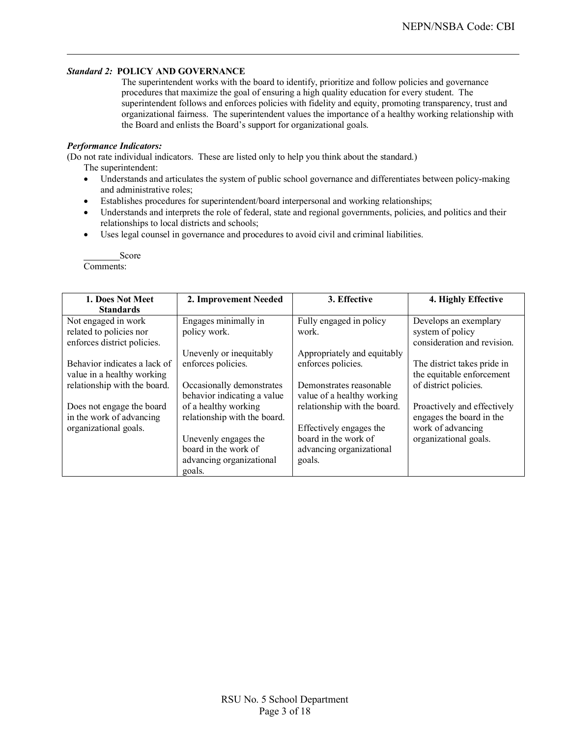## *Standard 2:* **POLICY AND GOVERNANCE**

The superintendent works with the board to identify, prioritize and follow policies and governance procedures that maximize the goal of ensuring a high quality education for every student. The superintendent follows and enforces policies with fidelity and equity, promoting transparency, trust and organizational fairness. The superintendent values the importance of a healthy working relationship with the Board and enlists the Board's support for organizational goals.

#### *Performance Indicators:*

(Do not rate individual indicators. These are listed only to help you think about the standard.)

The superintendent:

- Understands and articulates the system of public school governance and differentiates between policy-making and administrative roles;
- Establishes procedures for superintendent/board interpersonal and working relationships;
- Understands and interprets the role of federal, state and regional governments, policies, and politics and their relationships to local districts and schools;
- Uses legal counsel in governance and procedures to avoid civil and criminal liabilities.

| 1. Does Not Meet                                                              | 2. Improvement Needed                                    | 3. Effective                                          | 4. Highly Effective                                                               |  |  |  |
|-------------------------------------------------------------------------------|----------------------------------------------------------|-------------------------------------------------------|-----------------------------------------------------------------------------------|--|--|--|
| <b>Standards</b>                                                              |                                                          |                                                       |                                                                                   |  |  |  |
| Not engaged in work<br>related to policies nor<br>enforces district policies. | Engages minimally in<br>policy work.                     | Fully engaged in policy<br>work.                      | Develops an exemplary<br>system of policy<br>consideration and revision.          |  |  |  |
|                                                                               | Unevenly or inequitably                                  | Appropriately and equitably                           |                                                                                   |  |  |  |
| Behavior indicates a lack of<br>value in a healthy working                    | enforces policies.                                       | enforces policies.                                    | The district takes pride in<br>the equitable enforcement<br>of district policies. |  |  |  |
| relationship with the board.                                                  | Occasionally demonstrates<br>behavior indicating a value | Demonstrates reasonable<br>value of a healthy working |                                                                                   |  |  |  |
| Does not engage the board<br>in the work of advancing                         | of a healthy working<br>relationship with the board.     | relationship with the board.                          | Proactively and effectively<br>engages the board in the                           |  |  |  |
| organizational goals.                                                         |                                                          | Effectively engages the                               | work of advancing                                                                 |  |  |  |
|                                                                               | Unevenly engages the                                     | board in the work of                                  | organizational goals.                                                             |  |  |  |
|                                                                               | board in the work of                                     | advancing organizational                              |                                                                                   |  |  |  |
|                                                                               | advancing organizational                                 | goals.                                                |                                                                                   |  |  |  |
|                                                                               | goals.                                                   |                                                       |                                                                                   |  |  |  |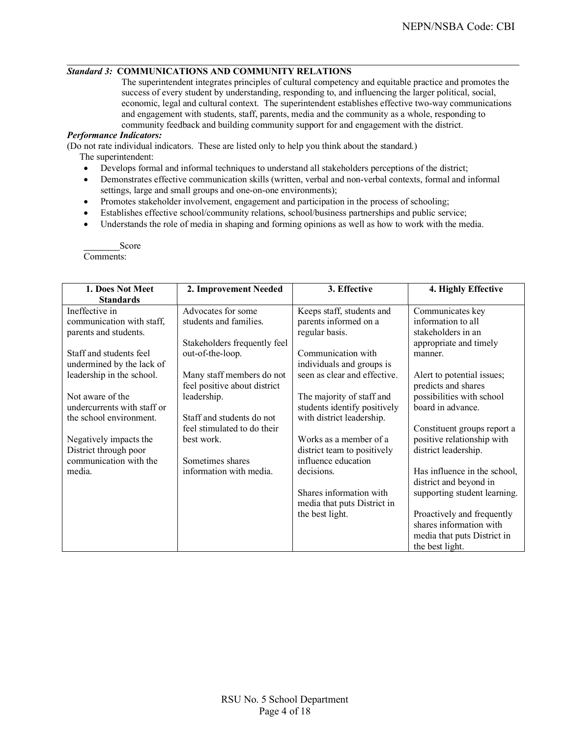## *Standard 3:* **COMMUNICATIONS AND COMMUNITY RELATIONS**

The superintendent integrates principles of cultural competency and equitable practice and promotes the success of every student by understanding, responding to, and influencing the larger political, social, economic, legal and cultural context. The superintendent establishes effective two-way communications and engagement with students, staff, parents, media and the community as a whole, responding to community feedback and building community support for and engagement with the district.

## *Performance Indicators:*

(Do not rate individual indicators. These are listed only to help you think about the standard.)

- The superintendent:
	- Develops formal and informal techniques to understand all stakeholders perceptions of the district;
	- Demonstrates effective communication skills (written, verbal and non-verbal contexts, formal and informal settings, large and small groups and one-on-one environments);
	- Promotes stakeholder involvement, engagement and participation in the process of schooling;
	- Establishes effective school/community relations, school/business partnerships and public service;
	- Understands the role of media in shaping and forming opinions as well as how to work with the media.

| 1. Does Not Meet                                | 2. Improvement Needed        | 3. Effective                                       | 4. Highly Effective          |  |  |  |
|-------------------------------------------------|------------------------------|----------------------------------------------------|------------------------------|--|--|--|
| <b>Standards</b>                                |                              |                                                    |                              |  |  |  |
| Ineffective in                                  | Advocates for some           | Keeps staff, students and                          | Communicates key             |  |  |  |
| communication with staff,                       | students and families.       | parents informed on a                              | information to all           |  |  |  |
| parents and students.                           |                              | regular basis.                                     | stakeholders in an           |  |  |  |
|                                                 | Stakeholders frequently feel |                                                    | appropriate and timely       |  |  |  |
| Staff and students feel                         | out-of-the-loop.             | Communication with                                 | manner.                      |  |  |  |
| undermined by the lack of                       |                              | individuals and groups is                          |                              |  |  |  |
| leadership in the school.                       | Many staff members do not    | seen as clear and effective.                       | Alert to potential issues;   |  |  |  |
|                                                 | feel positive about district |                                                    | predicts and shares          |  |  |  |
| Not aware of the                                | leadership.                  | The majority of staff and                          | possibilities with school    |  |  |  |
| undercurrents with staff or                     |                              | students identify positively                       | board in advance.            |  |  |  |
| the school environment.                         | Staff and students do not    | with district leadership.                          |                              |  |  |  |
|                                                 | feel stimulated to do their  |                                                    | Constituent groups report a  |  |  |  |
| Negatively impacts the                          | best work.                   | Works as a member of a                             | positive relationship with   |  |  |  |
| District through poor<br>communication with the | Sometimes shares             | district team to positively<br>influence education | district leadership.         |  |  |  |
| media.                                          | information with media.      | decisions.                                         | Has influence in the school, |  |  |  |
|                                                 |                              |                                                    | district and beyond in       |  |  |  |
|                                                 |                              | Shares information with                            | supporting student learning. |  |  |  |
|                                                 |                              | media that puts District in                        |                              |  |  |  |
|                                                 |                              | the best light.                                    | Proactively and frequently   |  |  |  |
|                                                 |                              |                                                    | shares information with      |  |  |  |
|                                                 |                              |                                                    | media that puts District in  |  |  |  |
|                                                 |                              |                                                    | the best light.              |  |  |  |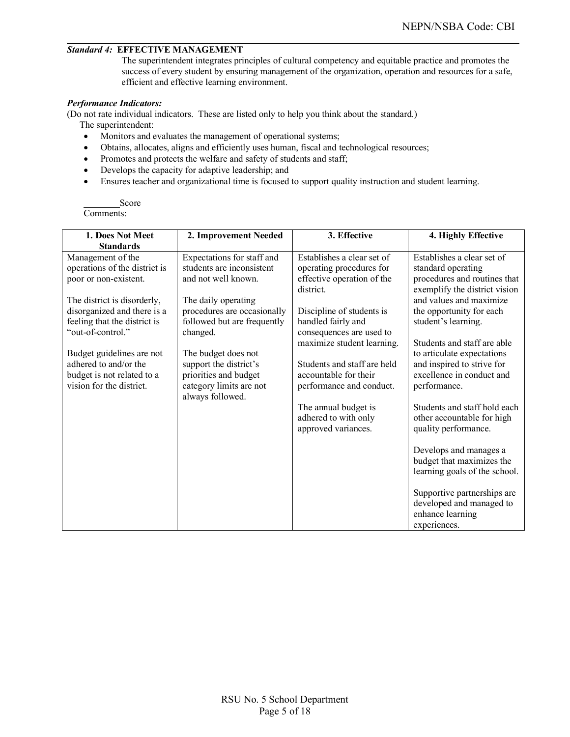## *Standard 4:* **EFFECTIVE MANAGEMENT**

The superintendent integrates principles of cultural competency and equitable practice and promotes the success of every student by ensuring management of the organization, operation and resources for a safe, efficient and effective learning environment.

## *Performance Indicators:*

(Do not rate individual indicators. These are listed only to help you think about the standard.) The superintendent:

- Monitors and evaluates the management of operational systems;
- Obtains, allocates, aligns and efficiently uses human, fiscal and technological resources;
- Promotes and protects the welfare and safety of students and staff;
- Develops the capacity for adaptive leadership; and
- Ensures teacher and organizational time is focused to support quality instruction and student learning.

| 1. Does Not Meet                                            | 2. Improvement Needed                                      | 3. Effective                                    | 4. Highly Effective                                           |
|-------------------------------------------------------------|------------------------------------------------------------|-------------------------------------------------|---------------------------------------------------------------|
| <b>Standards</b>                                            |                                                            |                                                 |                                                               |
| Management of the                                           | Expectations for staff and                                 | Establishes a clear set of                      | Establishes a clear set of                                    |
| operations of the district is                               | students are inconsistent                                  | operating procedures for                        | standard operating                                            |
| poor or non-existent.                                       | and not well known.                                        | effective operation of the<br>district.         | procedures and routines that<br>exemplify the district vision |
| The district is disorderly,                                 | The daily operating                                        |                                                 | and values and maximize                                       |
| disorganized and there is a<br>feeling that the district is | procedures are occasionally<br>followed but are frequently | Discipline of students is<br>handled fairly and | the opportunity for each<br>student's learning.               |
| "out-of-control."                                           | changed.                                                   | consequences are used to                        |                                                               |
|                                                             |                                                            | maximize student learning.                      | Students and staff are able                                   |
| Budget guidelines are not<br>adhered to and/or the          | The budget does not<br>support the district's              | Students and staff are held                     | to articulate expectations<br>and inspired to strive for      |
| budget is not related to a                                  | priorities and budget                                      | accountable for their                           | excellence in conduct and                                     |
| vision for the district.                                    | category limits are not                                    | performance and conduct.                        | performance.                                                  |
|                                                             | always followed.                                           |                                                 | Students and staff hold each                                  |
|                                                             |                                                            | The annual budget is                            |                                                               |
|                                                             |                                                            | adhered to with only<br>approved variances.     | other accountable for high<br>quality performance.            |
|                                                             |                                                            |                                                 |                                                               |
|                                                             |                                                            |                                                 | Develops and manages a                                        |
|                                                             |                                                            |                                                 | budget that maximizes the                                     |
|                                                             |                                                            |                                                 | learning goals of the school.                                 |
|                                                             |                                                            |                                                 | Supportive partnerships are                                   |
|                                                             |                                                            |                                                 | developed and managed to                                      |
|                                                             |                                                            |                                                 | enhance learning                                              |
|                                                             |                                                            |                                                 | experiences.                                                  |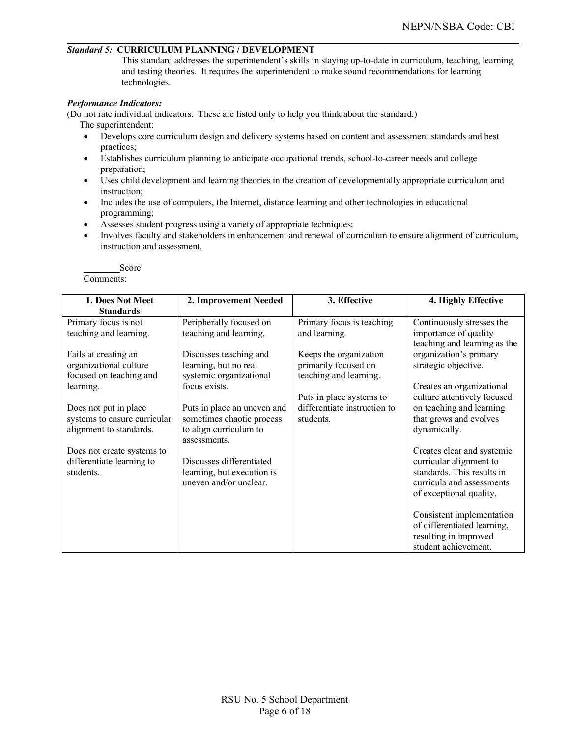#### *Standard 5:* **CURRICULUM PLANNING / DEVELOPMENT**

This standard addresses the superintendent's skills in staying up-to-date in curriculum, teaching, learning and testing theories. It requires the superintendent to make sound recommendations for learning technologies.

#### *Performance Indicators:*

(Do not rate individual indicators. These are listed only to help you think about the standard.) The superintendent:

- Develops core curriculum design and delivery systems based on content and assessment standards and best practices;
- Establishes curriculum planning to anticipate occupational trends, school-to-career needs and college preparation;
- Uses child development and learning theories in the creation of developmentally appropriate curriculum and instruction;
- Includes the use of computers, the Internet, distance learning and other technologies in educational programming;
- Assesses student progress using a variety of appropriate techniques;
- Involves faculty and stakeholders in enhancement and renewal of curriculum to ensure alignment of curriculum, instruction and assessment.

| 1. Does Not Meet             | 2. Improvement Needed       | 3. Effective                 | 4. Highly Effective          |
|------------------------------|-----------------------------|------------------------------|------------------------------|
| <b>Standards</b>             |                             |                              |                              |
| Primary focus is not         | Peripherally focused on     | Primary focus is teaching    | Continuously stresses the    |
| teaching and learning.       | teaching and learning.      | and learning.                | importance of quality        |
|                              |                             |                              | teaching and learning as the |
| Fails at creating an         | Discusses teaching and      | Keeps the organization       | organization's primary       |
| organizational culture       | learning, but no real       | primarily focused on         | strategic objective.         |
| focused on teaching and      | systemic organizational     | teaching and learning.       |                              |
| learning.                    | focus exists.               |                              | Creates an organizational    |
|                              |                             | Puts in place systems to     | culture attentively focused  |
| Does not put in place        | Puts in place an uneven and | differentiate instruction to | on teaching and learning     |
| systems to ensure curricular | sometimes chaotic process   | students                     | that grows and evolves       |
| alignment to standards.      | to align curriculum to      |                              | dynamically.                 |
|                              | assessments.                |                              |                              |
| Does not create systems to   |                             |                              | Creates clear and systemic   |
| differentiate learning to    | Discusses differentiated    |                              | curricular alignment to      |
| students.                    | learning, but execution is  |                              | standards. This results in   |
|                              | uneven and/or unclear.      |                              | curricula and assessments    |
|                              |                             |                              | of exceptional quality.      |
|                              |                             |                              |                              |
|                              |                             |                              | Consistent implementation    |
|                              |                             |                              | of differentiated learning,  |
|                              |                             |                              | resulting in improved        |
|                              |                             |                              | student achievement.         |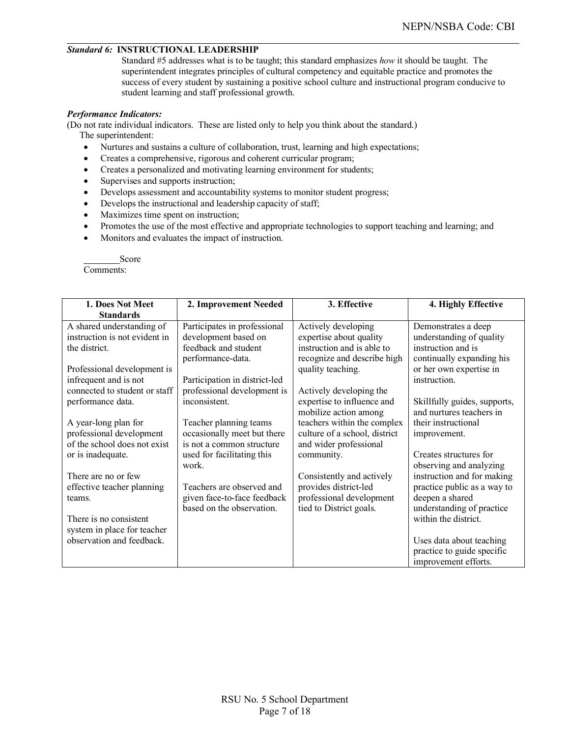#### *Standard 6:* **INSTRUCTIONAL LEADERSHIP**

Standard #5 addresses what is to be taught; this standard emphasizes *how* it should be taught. The superintendent integrates principles of cultural competency and equitable practice and promotes the success of every student by sustaining a positive school culture and instructional program conducive to student learning and staff professional growth.

#### *Performance Indicators:*

(Do not rate individual indicators. These are listed only to help you think about the standard.) The superintendent:

- Nurtures and sustains a culture of collaboration, trust, learning and high expectations;
- Creates a comprehensive, rigorous and coherent curricular program;
- Creates a personalized and motivating learning environment for students;
- Supervises and supports instruction;
- Develops assessment and accountability systems to monitor student progress;
- Develops the instructional and leadership capacity of staff;
- Maximizes time spent on instruction;
- Promotes the use of the most effective and appropriate technologies to support teaching and learning; and
- Monitors and evaluates the impact of instruction.

| 1. Does Not Meet              | 2. Improvement Needed         | 3. Effective                  | 4. Highly Effective          |  |  |  |
|-------------------------------|-------------------------------|-------------------------------|------------------------------|--|--|--|
| <b>Standards</b>              |                               |                               |                              |  |  |  |
| A shared understanding of     | Participates in professional  | Actively developing           | Demonstrates a deep          |  |  |  |
| instruction is not evident in | development based on          | expertise about quality       | understanding of quality     |  |  |  |
| the district.                 | feedback and student          | instruction and is able to    | instruction and is           |  |  |  |
|                               | performance-data.             | recognize and describe high   | continually expanding his    |  |  |  |
| Professional development is   |                               | quality teaching.             | or her own expertise in      |  |  |  |
| infrequent and is not         | Participation in district-led |                               | instruction.                 |  |  |  |
| connected to student or staff | professional development is   | Actively developing the       |                              |  |  |  |
| performance data.             | inconsistent.                 | expertise to influence and    | Skillfully guides, supports, |  |  |  |
|                               |                               | mobilize action among         | and nurtures teachers in     |  |  |  |
| A year-long plan for          | Teacher planning teams        | teachers within the complex   | their instructional          |  |  |  |
| professional development      | occasionally meet but there   | culture of a school, district | improvement.                 |  |  |  |
| of the school does not exist  | is not a common structure     | and wider professional        |                              |  |  |  |
| or is inadequate.             | used for facilitating this    | community.                    | Creates structures for       |  |  |  |
|                               | work                          |                               | observing and analyzing      |  |  |  |
| There are no or few           |                               | Consistently and actively     | instruction and for making   |  |  |  |
| effective teacher planning    | Teachers are observed and     | provides district-led         | practice public as a way to  |  |  |  |
| teams.                        | given face-to-face feedback   | professional development      | deepen a shared              |  |  |  |
|                               | based on the observation.     | tied to District goals.       | understanding of practice    |  |  |  |
| There is no consistent        |                               |                               | within the district.         |  |  |  |
| system in place for teacher   |                               |                               |                              |  |  |  |
| observation and feedback.     |                               |                               | Uses data about teaching     |  |  |  |
|                               |                               |                               | practice to guide specific   |  |  |  |
|                               |                               |                               | improvement efforts.         |  |  |  |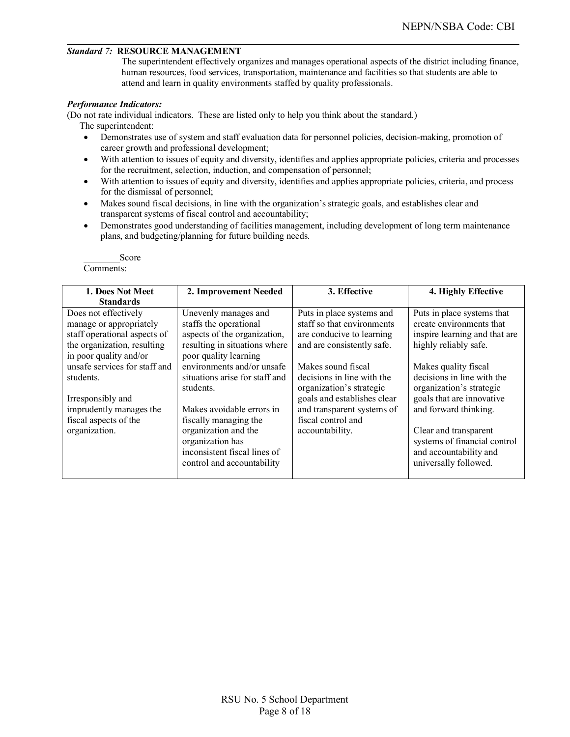#### *Standard 7:* **RESOURCE MANAGEMENT**

The superintendent effectively organizes and manages operational aspects of the district including finance, human resources, food services, transportation, maintenance and facilities so that students are able to attend and learn in quality environments staffed by quality professionals.

#### *Performance Indicators:*

(Do not rate individual indicators. These are listed only to help you think about the standard.) The superintendent:

- Demonstrates use of system and staff evaluation data for personnel policies, decision-making, promotion of career growth and professional development;
- With attention to issues of equity and diversity, identifies and applies appropriate policies, criteria and processes for the recruitment, selection, induction, and compensation of personnel;
- With attention to issues of equity and diversity, identifies and applies appropriate policies, criteria, and process for the dismissal of personnel;
- Makes sound fiscal decisions, in line with the organization's strategic goals, and establishes clear and transparent systems of fiscal control and accountability;
- Demonstrates good understanding of facilities management, including development of long term maintenance plans, and budgeting/planning for future building needs.

| 1. Does Not Meet                                                                                                                         | 2. Improvement Needed                                                                                                                                                                                                                     | 3. Effective                                                                                                                                                                       | 4. Highly Effective                                                                                                                                                                                                                              |
|------------------------------------------------------------------------------------------------------------------------------------------|-------------------------------------------------------------------------------------------------------------------------------------------------------------------------------------------------------------------------------------------|------------------------------------------------------------------------------------------------------------------------------------------------------------------------------------|--------------------------------------------------------------------------------------------------------------------------------------------------------------------------------------------------------------------------------------------------|
| <b>Standards</b>                                                                                                                         |                                                                                                                                                                                                                                           |                                                                                                                                                                                    |                                                                                                                                                                                                                                                  |
| Does not effectively<br>manage or appropriately<br>staff operational aspects of<br>the organization, resulting<br>in poor quality and/or | Unevenly manages and<br>staffs the operational<br>aspects of the organization,<br>resulting in situations where<br>poor quality learning                                                                                                  | Puts in place systems and<br>staff so that environments<br>are conducive to learning<br>and are consistently safe.                                                                 | Puts in place systems that<br>create environments that<br>inspire learning and that are<br>highly reliably safe.                                                                                                                                 |
| unsafe services for staff and<br>students.<br>Irresponsibly and<br>imprudently manages the<br>fiscal aspects of the<br>organization.     | environments and/or unsafe<br>situations arise for staff and<br>students.<br>Makes avoidable errors in<br>fiscally managing the<br>organization and the<br>organization has<br>inconsistent fiscal lines of<br>control and accountability | Makes sound fiscal<br>decisions in line with the<br>organization's strategic<br>goals and establishes clear<br>and transparent systems of<br>fiscal control and<br>accountability. | Makes quality fiscal<br>decisions in line with the<br>organization's strategic<br>goals that are innovative<br>and forward thinking.<br>Clear and transparent<br>systems of financial control<br>and accountability and<br>universally followed. |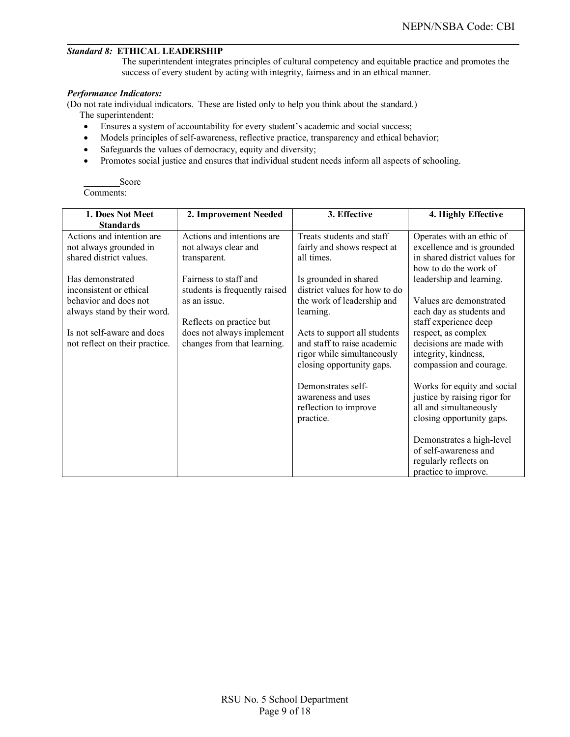# *Standard 8:* **ETHICAL LEADERSHIP**

The superintendent integrates principles of cultural competency and equitable practice and promotes the success of every student by acting with integrity, fairness and in an ethical manner.

#### *Performance Indicators:*

(Do not rate individual indicators. These are listed only to help you think about the standard.)

The superintendent:

- Ensures a system of accountability for every student's academic and social success;
- Models principles of self-awareness, reflective practice, transparency and ethical behavior;
- Safeguards the values of democracy, equity and diversity;
- Promotes social justice and ensures that individual student needs inform all aspects of schooling.

| 1. Does Not Meet               | 2. Improvement Needed         | 3. Effective                  | 4. Highly Effective           |  |  |  |  |
|--------------------------------|-------------------------------|-------------------------------|-------------------------------|--|--|--|--|
| <b>Standards</b>               |                               |                               |                               |  |  |  |  |
| Actions and intention are      | Actions and intentions are    | Treats students and staff     | Operates with an ethic of     |  |  |  |  |
| not always grounded in         | not always clear and          | fairly and shows respect at   | excellence and is grounded    |  |  |  |  |
| shared district values.        | transparent.                  | all times.                    | in shared district values for |  |  |  |  |
|                                |                               |                               | how to do the work of         |  |  |  |  |
| Has demonstrated               | Fairness to staff and         | Is grounded in shared         | leadership and learning.      |  |  |  |  |
| inconsistent or ethical        | students is frequently raised | district values for how to do |                               |  |  |  |  |
| behavior and does not          | as an issue.                  | the work of leadership and    | Values are demonstrated       |  |  |  |  |
| always stand by their word.    |                               | learning.                     | each day as students and      |  |  |  |  |
|                                | Reflects on practice but      |                               | staff experience deep         |  |  |  |  |
| Is not self-aware and does     | does not always implement     | Acts to support all students  | respect, as complex           |  |  |  |  |
| not reflect on their practice. | changes from that learning.   | and staff to raise academic   | decisions are made with       |  |  |  |  |
|                                |                               | rigor while simultaneously    | integrity, kindness,          |  |  |  |  |
|                                |                               | closing opportunity gaps.     | compassion and courage.       |  |  |  |  |
|                                |                               | Demonstrates self-            | Works for equity and social   |  |  |  |  |
|                                |                               | awareness and uses            | justice by raising rigor for  |  |  |  |  |
|                                |                               | reflection to improve         | all and simultaneously        |  |  |  |  |
|                                |                               | practice.                     | closing opportunity gaps.     |  |  |  |  |
|                                |                               |                               |                               |  |  |  |  |
|                                |                               |                               | Demonstrates a high-level     |  |  |  |  |
|                                |                               |                               | of self-awareness and         |  |  |  |  |
|                                |                               |                               | regularly reflects on         |  |  |  |  |
|                                |                               |                               | practice to improve.          |  |  |  |  |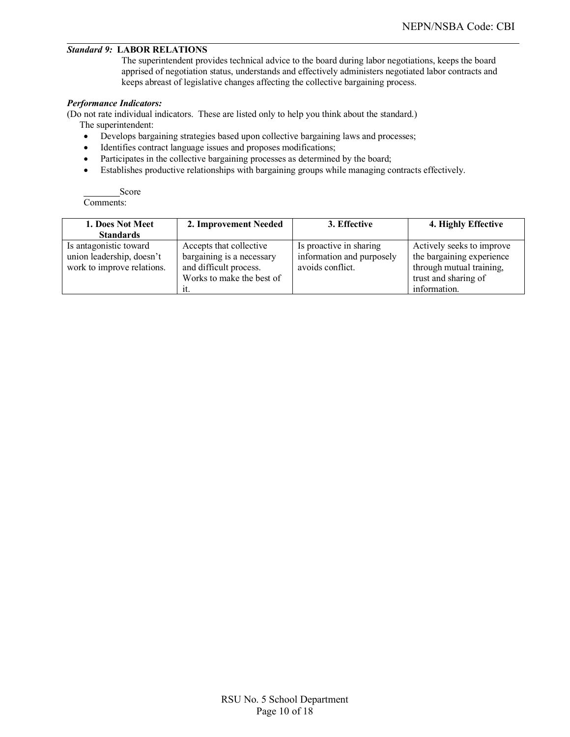## *Standard 9:* **LABOR RELATIONS**

The superintendent provides technical advice to the board during labor negotiations, keeps the board apprised of negotiation status, understands and effectively administers negotiated labor contracts and keeps abreast of legislative changes affecting the collective bargaining process.

#### *Performance Indicators:*

(Do not rate individual indicators. These are listed only to help you think about the standard.) The superintendent:

- Develops bargaining strategies based upon collective bargaining laws and processes;
- Identifies contract language issues and proposes modifications;
- Participates in the collective bargaining processes as determined by the board;
- Establishes productive relationships with bargaining groups while managing contracts effectively.

| 1. Does Not Meet<br><b>Standards</b>                                              | 2. Improvement Needed                                                                                       | 3. Effective                                                             | 4. Highly Effective                                                                                                        |
|-----------------------------------------------------------------------------------|-------------------------------------------------------------------------------------------------------------|--------------------------------------------------------------------------|----------------------------------------------------------------------------------------------------------------------------|
| Is antagonistic toward<br>union leadership, doesn't<br>work to improve relations. | Accepts that collective<br>bargaining is a necessary<br>and difficult process.<br>Works to make the best of | Is proactive in sharing<br>information and purposely<br>avoids conflict. | Actively seeks to improve<br>the bargaining experience<br>through mutual training,<br>trust and sharing of<br>information. |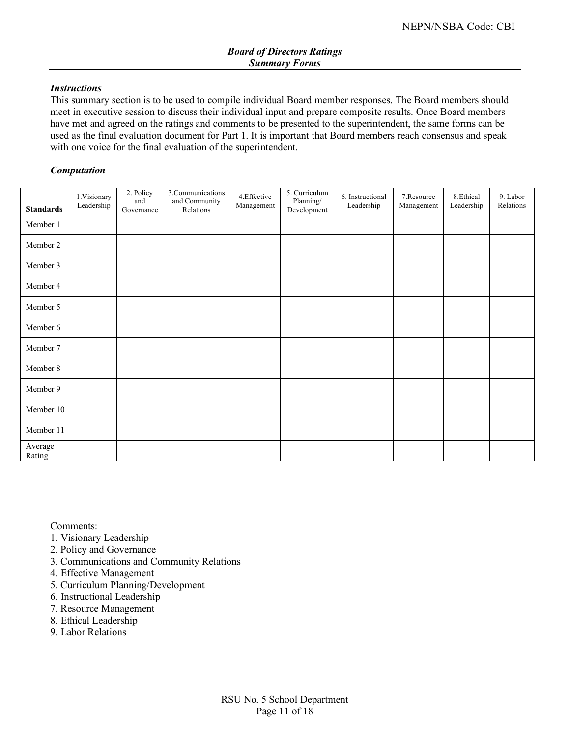## *Instructions*

This summary section is to be used to compile individual Board member responses. The Board members should meet in executive session to discuss their individual input and prepare composite results. Once Board members have met and agreed on the ratings and comments to be presented to the superintendent, the same forms can be used as the final evaluation document for Part 1. It is important that Board members reach consensus and speak with one voice for the final evaluation of the superintendent.

# *Computation*

| <b>Standards</b>  | 1.Visionary<br>Leadership | 2. Policy<br>and<br>Governance | 3.Communications<br>and Community<br>Relations | 4. Effective<br>Management | 5. Curriculum<br>Planning/<br>Development | 6. Instructional<br>Leadership | 7.Resource<br>Management | 8.Ethical<br>Leadership | 9. Labor<br>Relations |
|-------------------|---------------------------|--------------------------------|------------------------------------------------|----------------------------|-------------------------------------------|--------------------------------|--------------------------|-------------------------|-----------------------|
| Member 1          |                           |                                |                                                |                            |                                           |                                |                          |                         |                       |
| Member 2          |                           |                                |                                                |                            |                                           |                                |                          |                         |                       |
| Member 3          |                           |                                |                                                |                            |                                           |                                |                          |                         |                       |
| Member 4          |                           |                                |                                                |                            |                                           |                                |                          |                         |                       |
| Member 5          |                           |                                |                                                |                            |                                           |                                |                          |                         |                       |
| Member 6          |                           |                                |                                                |                            |                                           |                                |                          |                         |                       |
| Member 7          |                           |                                |                                                |                            |                                           |                                |                          |                         |                       |
| Member 8          |                           |                                |                                                |                            |                                           |                                |                          |                         |                       |
| Member 9          |                           |                                |                                                |                            |                                           |                                |                          |                         |                       |
| Member 10         |                           |                                |                                                |                            |                                           |                                |                          |                         |                       |
| Member 11         |                           |                                |                                                |                            |                                           |                                |                          |                         |                       |
| Average<br>Rating |                           |                                |                                                |                            |                                           |                                |                          |                         |                       |

- 1. Visionary Leadership
- 2. Policy and Governance
- 3. Communications and Community Relations
- 4. Effective Management
- 5. Curriculum Planning/Development
- 6. Instructional Leadership
- 7. Resource Management
- 8. Ethical Leadership
- 9. Labor Relations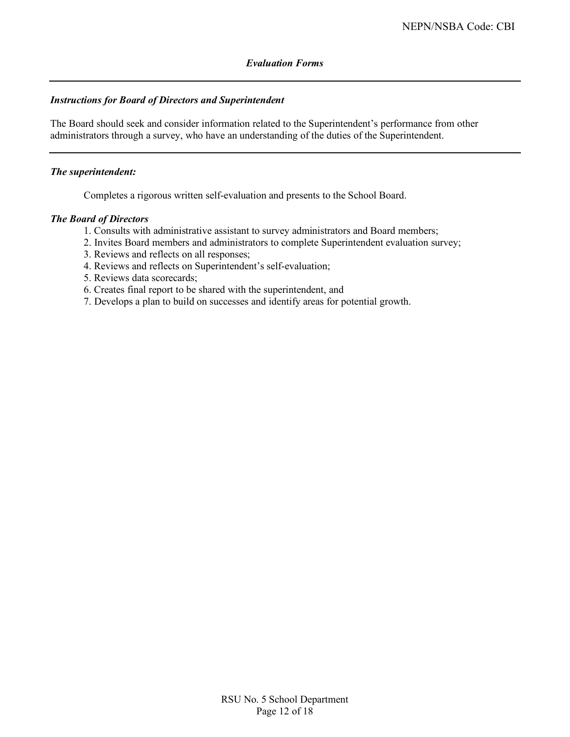## *Evaluation Forms*

## *Instructions for Board of Directors and Superintendent*

The Board should seek and consider information related to the Superintendent's performance from other administrators through a survey, who have an understanding of the duties of the Superintendent.

#### *The superintendent:*

Completes a rigorous written self-evaluation and presents to the School Board.

#### *The Board of Directors*

- 1. Consults with administrative assistant to survey administrators and Board members;
- 2. Invites Board members and administrators to complete Superintendent evaluation survey;
- 3. Reviews and reflects on all responses;
- 4. Reviews and reflects on Superintendent's self-evaluation;
- 5. Reviews data scorecards;
- 6. Creates final report to be shared with the superintendent, and
- 7. Develops a plan to build on successes and identify areas for potential growth.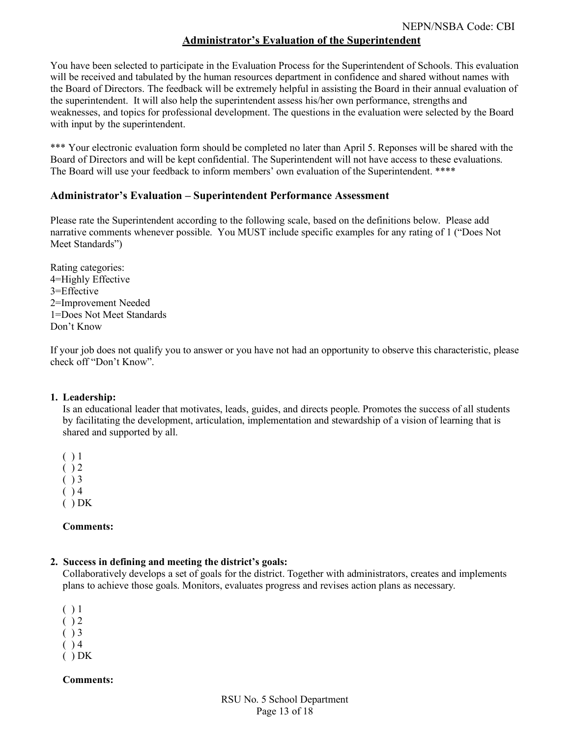# **Administrator's Evaluation of the Superintendent**

You have been selected to participate in the Evaluation Process for the Superintendent of Schools. This evaluation will be received and tabulated by the human resources department in confidence and shared without names with the Board of Directors. The feedback will be extremely helpful in assisting the Board in their annual evaluation of the superintendent. It will also help the superintendent assess his/her own performance, strengths and weaknesses, and topics for professional development. The questions in the evaluation were selected by the Board with input by the superintendent.

\*\*\* Your electronic evaluation form should be completed no later than April 5. Reponses will be shared with the Board of Directors and will be kept confidential. The Superintendent will not have access to these evaluations. The Board will use your feedback to inform members' own evaluation of the Superintendent. \*\*\*\*

# **Administrator's Evaluation – Superintendent Performance Assessment**

Please rate the Superintendent according to the following scale, based on the definitions below. Please add narrative comments whenever possible. You MUST include specific examples for any rating of 1 ("Does Not Meet Standards")

Rating categories: 4=Highly Effective 3=Effective 2=Improvement Needed 1=Does Not Meet Standards Don't Know

If your job does not qualify you to answer or you have not had an opportunity to observe this characteristic, please check off "Don't Know".

## **1. Leadership:**

Is an educational leader that motivates, leads, guides, and directs people. Promotes the success of all students by facilitating the development, articulation, implementation and stewardship of a vision of learning that is shared and supported by all.

 $( ) 1$  $( ) 2$  $( ) 3$  $( ) 4$  $( ) DK$ 

## **Comments:**

## **2. Success in defining and meeting the district's goals:**

Collaboratively develops a set of goals for the district. Together with administrators, creates and implements plans to achieve those goals. Monitors, evaluates progress and revises action plans as necessary.

- $( ) 1$
- $( ) 2$
- $( ) 3$
- $( ) 4$
- $( ) DK$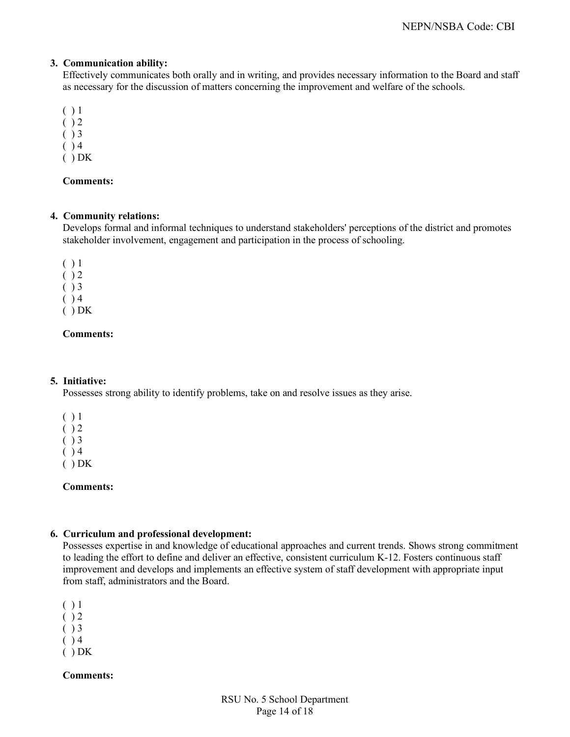# **3. Communication ability:**

Effectively communicates both orally and in writing, and provides necessary information to the Board and staff as necessary for the discussion of matters concerning the improvement and welfare of the schools.

- $( ) 1$
- $( ) 2$
- $( ) 3$
- $( ) 4$
- $( ) DK$

# **Comments:**

# **4. Community relations:**

Develops formal and informal techniques to understand stakeholders' perceptions of the district and promotes stakeholder involvement, engagement and participation in the process of schooling.

- $( ) 1$
- $( ) 2$
- $( ) 3$
- $( ) 4$
- $( ) DK$

# **Comments:**

## **5. Initiative:**

Possesses strong ability to identify problems, take on and resolve issues as they arise.

- $( ) 1$  $( ) 2$  $( ) 3$  $( ) 4$
- $( ) DK$

# **Comments:**

# **6. Curriculum and professional development:**

Possesses expertise in and knowledge of educational approaches and current trends. Shows strong commitment to leading the effort to define and deliver an effective, consistent curriculum K-12. Fosters continuous staff improvement and develops and implements an effective system of staff development with appropriate input from staff, administrators and the Board.

- $( ) 1$
- $( ) 2$
- $( ) 3$
- $( ) 4$
- $( ) DK$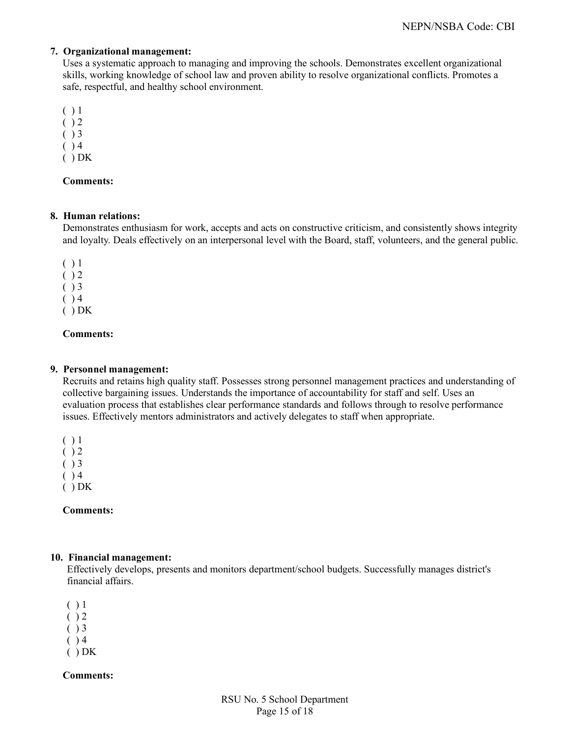# **7. Organizational management:**

Uses a systematic approach to managing and improving the schools. Demonstrates excellent organizational skills, working knowledge of school law and proven ability to resolve organizational conflicts. Promotes a safe, respectful, and healthy school environment.

- $( ) 1$
- $( ) 2$
- $( ) 3$
- $( ) 4$
- $( ) DK$

# **Comments:**

# **8. Human relations:**

Demonstrates enthusiasm for work, accepts and acts on constructive criticism, and consistently shows integrity and loyalty. Deals effectively on an interpersonal level with the Board, staff, volunteers, and the general public.

- $( ) 1$  $( ) 2$  $( ) 3$  $( ) 4$
- $( ) DK$

# **Comments:**

# **9. Personnel management:**

Recruits and retains high quality staff. Possesses strong personnel management practices and understanding of collective bargaining issues. Understands the importance of accountability for staff and self. Uses an evaluation process that establishes clear performance standards and follows through to resolve performance issues. Effectively mentors administrators and actively delegates to staff when appropriate.

 $( ) 1$  $( ) 2$  $( ) 3$  $( ) 4$  $( ) DK$ 

**Comments:**

## **10. Financial management:**

Effectively develops, presents and monitors department/school budgets. Successfully manages district's financial affairs.

- $( ) 1$
- $( ) 2$
- $( ) 3$
- $( ) 4$
- $( ) DK$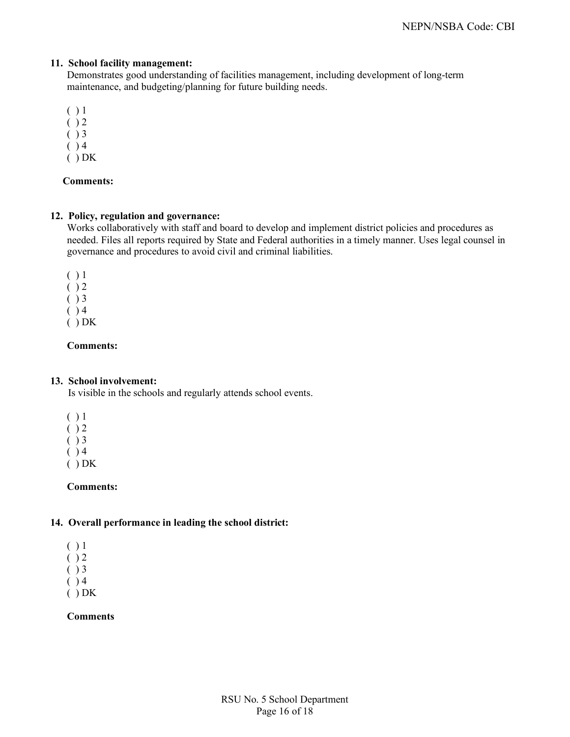## **11. School facility management:**

Demonstrates good understanding of facilities management, including development of long-term maintenance, and budgeting/planning for future building needs.

- ( ) 1
- $( ) 2$
- $( ) 3$
- $( ) 4$
- $( ) DK$

# **Comments:**

## **12. Policy, regulation and governance:**

Works collaboratively with staff and board to develop and implement district policies and procedures as needed. Files all reports required by State and Federal authorities in a timely manner. Uses legal counsel in governance and procedures to avoid civil and criminal liabilities.

 $( ) 1$  $( ) 2$  $( ) 3$  $( ) 4$ ( ) DK

# **Comments:**

## **13. School involvement:**

Is visible in the schools and regularly attends school events.

- $( ) 1$
- $( ) 2$
- $( )$  3
- $( ) 4$
- $( ) DK$

# **Comments:**

# **14. Overall performance in leading the school district:**

 $( ) 1$  $( ) 2$  $( ) 3$  $( ) 4$  $( ) DK$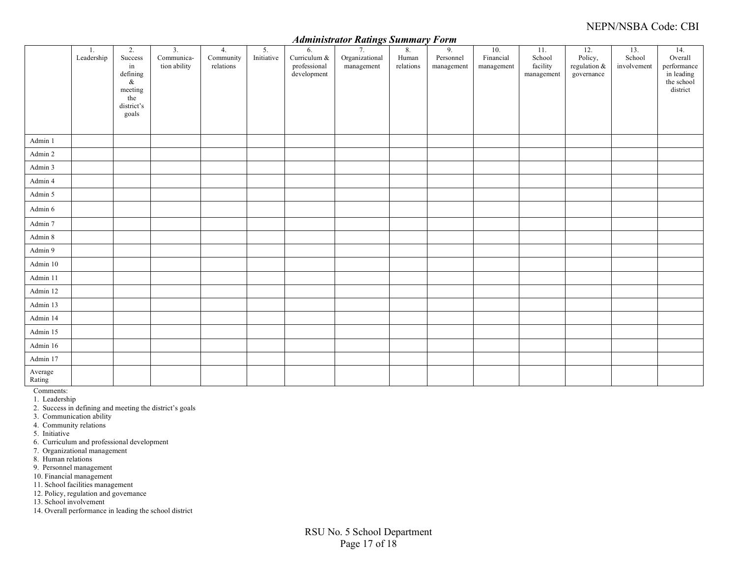# NEPN/NSBA Code: CBI

#### *Administrator Ratings Summary Form*

|                   |                  |                                                                                  |                                                |                              |                  |                                                   |                                    |                          | - - - - -                                 |                                |                                         |                                                |                              |                                                                       |
|-------------------|------------------|----------------------------------------------------------------------------------|------------------------------------------------|------------------------------|------------------|---------------------------------------------------|------------------------------------|--------------------------|-------------------------------------------|--------------------------------|-----------------------------------------|------------------------------------------------|------------------------------|-----------------------------------------------------------------------|
|                   | 1.<br>Leadership | 2.<br>Success<br>in<br>defining<br>$\&$<br>meeting<br>the<br>district's<br>goals | $\overline{3}$ .<br>Communica-<br>tion ability | 4.<br>Community<br>relations | 5.<br>Initiative | 6.<br>Curriculum &<br>professional<br>development | 7.<br>Organizational<br>management | 8.<br>Human<br>relations | 9 <sub>1</sub><br>Personnel<br>management | 10.<br>Financial<br>management | 11.<br>School<br>facility<br>management | 12.<br>Policy,<br>regulation $&$<br>governance | 13.<br>School<br>involvement | 14.<br>Overall<br>performance<br>in leading<br>the school<br>district |
| Admin 1           |                  |                                                                                  |                                                |                              |                  |                                                   |                                    |                          |                                           |                                |                                         |                                                |                              |                                                                       |
| Admin 2           |                  |                                                                                  |                                                |                              |                  |                                                   |                                    |                          |                                           |                                |                                         |                                                |                              |                                                                       |
| Admin 3           |                  |                                                                                  |                                                |                              |                  |                                                   |                                    |                          |                                           |                                |                                         |                                                |                              |                                                                       |
| Admin 4           |                  |                                                                                  |                                                |                              |                  |                                                   |                                    |                          |                                           |                                |                                         |                                                |                              |                                                                       |
| Admin 5           |                  |                                                                                  |                                                |                              |                  |                                                   |                                    |                          |                                           |                                |                                         |                                                |                              |                                                                       |
| Admin 6           |                  |                                                                                  |                                                |                              |                  |                                                   |                                    |                          |                                           |                                |                                         |                                                |                              |                                                                       |
| Admin 7           |                  |                                                                                  |                                                |                              |                  |                                                   |                                    |                          |                                           |                                |                                         |                                                |                              |                                                                       |
| Admin 8           |                  |                                                                                  |                                                |                              |                  |                                                   |                                    |                          |                                           |                                |                                         |                                                |                              |                                                                       |
| Admin 9           |                  |                                                                                  |                                                |                              |                  |                                                   |                                    |                          |                                           |                                |                                         |                                                |                              |                                                                       |
| Admin 10          |                  |                                                                                  |                                                |                              |                  |                                                   |                                    |                          |                                           |                                |                                         |                                                |                              |                                                                       |
| Admin 11          |                  |                                                                                  |                                                |                              |                  |                                                   |                                    |                          |                                           |                                |                                         |                                                |                              |                                                                       |
| Admin 12          |                  |                                                                                  |                                                |                              |                  |                                                   |                                    |                          |                                           |                                |                                         |                                                |                              |                                                                       |
| Admin 13          |                  |                                                                                  |                                                |                              |                  |                                                   |                                    |                          |                                           |                                |                                         |                                                |                              |                                                                       |
| Admin 14          |                  |                                                                                  |                                                |                              |                  |                                                   |                                    |                          |                                           |                                |                                         |                                                |                              |                                                                       |
| Admin 15          |                  |                                                                                  |                                                |                              |                  |                                                   |                                    |                          |                                           |                                |                                         |                                                |                              |                                                                       |
| Admin 16          |                  |                                                                                  |                                                |                              |                  |                                                   |                                    |                          |                                           |                                |                                         |                                                |                              |                                                                       |
| Admin 17          |                  |                                                                                  |                                                |                              |                  |                                                   |                                    |                          |                                           |                                |                                         |                                                |                              |                                                                       |
| Average<br>Rating |                  |                                                                                  |                                                |                              |                  |                                                   |                                    |                          |                                           |                                |                                         |                                                |                              |                                                                       |

Comments:

1. Leadership

2. Success in defining and meeting the district's goals

3. Communication ability

4. Community relations

5. Initiative

6. Curriculum and professional development

7. Organizational management

8. Human relations

9. Personnel management

10. Financial management

11. School facilities management

12. Policy, regulation and governance

13. School involvement

14. Overall performance in leading the school district